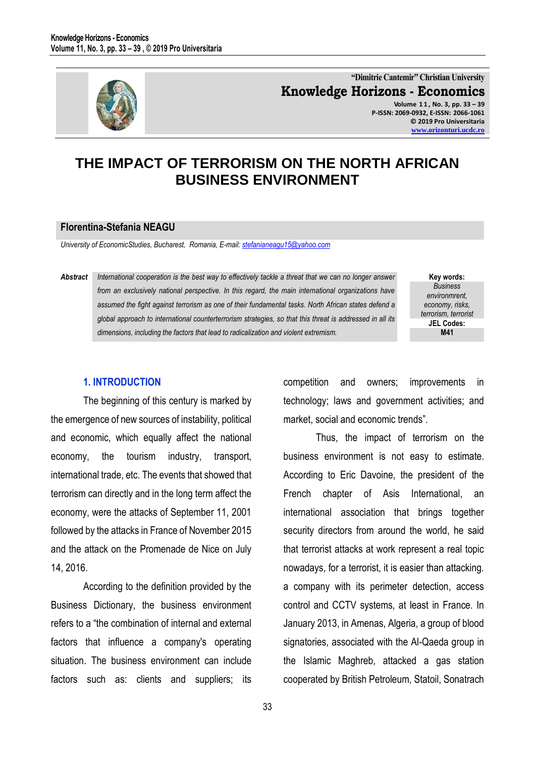

**"Dimitrie Cantemir" Christian University Knowledge Horizons - Economics Volume 1 1 , No. 3, pp. 33 – 39 P-ISSN: 2069-0932, E-ISSN: 2066-1061 © 2019 Pro Universitaria [www.orizonturi.ucdc.ro](http://www.orizonturi.ucdc.ro/)**

# **THE IMPACT OF TERRORISM ON THE NORTH AFRICAN BUSINESS ENVIRONMENT**

#### **Florentina-Stefania NEAGU**

*University of EconomicStudies, Bucharest, Romania, E-mail: [stefanianeagu15@yahoo.com](mailto:stefanianeagu15@yahoo.com)* 

*Abstract International cooperation is the best way to effectively tackle a threat that we can no longer answer from an exclusively national perspective. In this regard, the main international organizations have assumed the fight against terrorism as one of their fundamental tasks. North African states defend a global approach to international counterterrorism strategies, so that this threat is addressed in all its dimensions, including the factors that lead to radicalization and violent extremism.* 

**Key words:** *Business environmrent, economy, risks, terrorism, terrorist* **JEL Codes: M41**

#### **1. INTRODUCTION**

The beginning of this century is marked by the emergence of new sources of instability, political and economic, which equally affect the national economy, the tourism industry, transport, international trade, etc. The events that showed that terrorism can directly and in the long term affect the economy, were the attacks of September 11, 2001 followed by the attacks in France of November 2015 and the attack on the Promenade de Nice on July 14, 2016.

According to the definition provided by the Business Dictionary, the business environment refers to a "the combination of internal and external factors that influence a company's operating situation. The business environment can include factors such as: clients and suppliers; its competition and owners; improvements in technology; laws and government activities; and market, social and economic trends".

Thus, the impact of terrorism on the business environment is not easy to estimate. According to Eric Davoine, the president of the French chapter of Asis International, an international association that brings together security directors from around the world, he said that terrorist attacks at work represent a real topic nowadays, for a terrorist, it is easier than attacking. a company with its perimeter detection, access control and CCTV systems, at least in France. In January 2013, in Amenas, Algeria, a group of blood signatories, associated with the Al-Qaeda group in the Islamic Maghreb, attacked a gas station cooperated by British Petroleum, Statoil, Sonatrach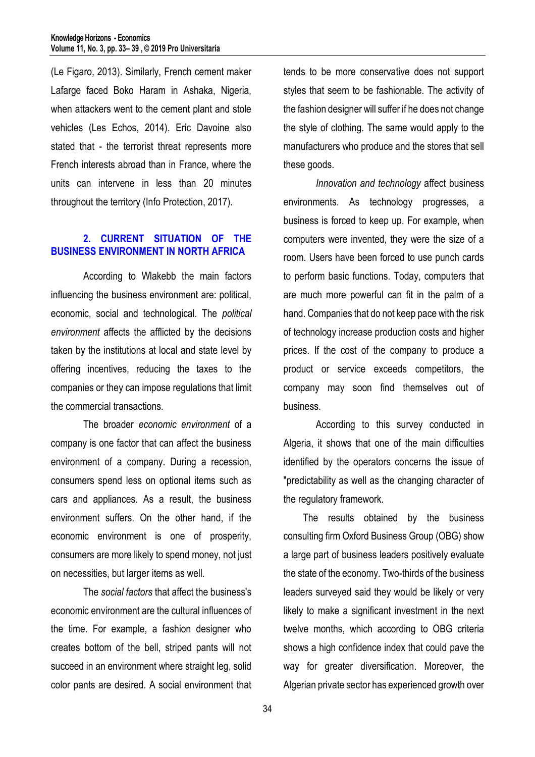(Le Figaro, 2013). Similarly, French cement maker Lafarge faced Boko Haram in Ashaka, Nigeria, when attackers went to the cement plant and stole vehicles (Les Echos, 2014). Eric Davoine also stated that - the terrorist threat represents more French interests abroad than in France, where the units can intervene in less than 20 minutes throughout the territory (Info Protection, 2017).

### **2. CURRENT SITUATION OF THE BUSINESS ENVIRONMENT IN NORTH AFRICA**

According to Wlakebb the main factors influencing the business environment are: political, economic, social and technological. The *political environment* affects the afflicted by the decisions taken by the institutions at local and state level by offering incentives, reducing the taxes to the companies or they can impose regulations that limit the commercial transactions.

The broader *economic environment* of a company is one factor that can affect the business environment of a company. During a recession, consumers spend less on optional items such as cars and appliances. As a result, the business environment suffers. On the other hand, if the economic environment is one of prosperity, consumers are more likely to spend money, not just on necessities, but larger items as well.

The *social factors* that affect the business's economic environment are the cultural influences of the time. For example, a fashion designer who creates bottom of the bell, striped pants will not succeed in an environment where straight leg, solid color pants are desired. A social environment that

tends to be more conservative does not support styles that seem to be fashionable. The activity of the fashion designer will suffer if he does not change the style of clothing. The same would apply to the manufacturers who produce and the stores that sell these goods.

*Innovation and technology* affect business environments. As technology progresses, a business is forced to keep up. For example, when computers were invented, they were the size of a room. Users have been forced to use punch cards to perform basic functions. Today, computers that are much more powerful can fit in the palm of a hand. Companies that do not keep pace with the risk of technology increase production costs and higher prices. If the cost of the company to produce a product or service exceeds competitors, the company may soon find themselves out of business.

According to this survey conducted in Algeria, it shows that one of the main difficulties identified by the operators concerns the issue of "predictability as well as the changing character of the regulatory framework.

The results obtained by the business consulting firm Oxford Business Group (OBG) show a large part of business leaders positively evaluate the state of the economy. Two-thirds of the business leaders surveyed said they would be likely or very likely to make a significant investment in the next twelve months, which according to OBG criteria shows a high confidence index that could pave the way for greater diversification. Moreover, the Algerian private sector has experienced growth over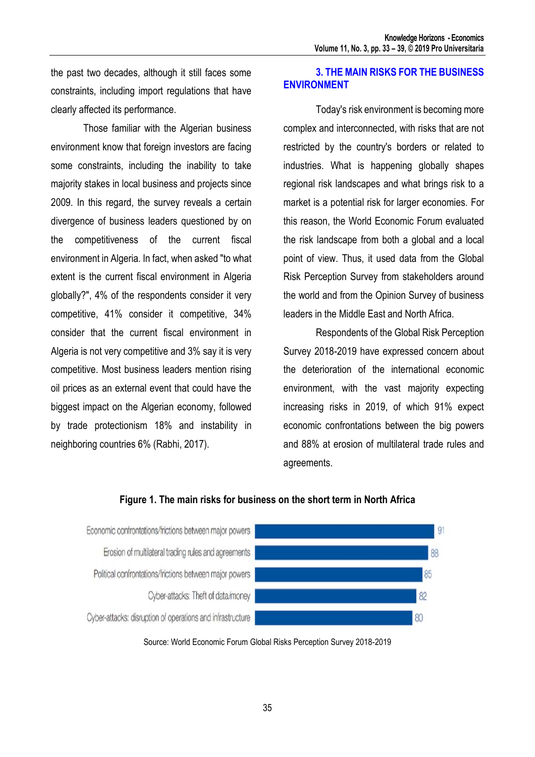the past two decades, although it still faces some constraints, including import regulations that have clearly affected its performance.

Those familiar with the Algerian business environment know that foreign investors are facing some constraints, including the inability to take majority stakes in local business and projects since 2009. In this regard, the survey reveals a certain divergence of business leaders questioned by on the competitiveness of the current fiscal environment in Algeria. In fact, when asked "to what extent is the current fiscal environment in Algeria globally?", 4% of the respondents consider it very competitive, 41% consider it competitive, 34% consider that the current fiscal environment in Algeria is not very competitive and 3% say it is very competitive. Most business leaders mention rising oil prices as an external event that could have the biggest impact on the Algerian economy, followed by trade protectionism 18% and instability in neighboring countries 6% (Rabhi, 2017).

## **3. THE MAIN RISKS FOR THE BUSINESS ENVIRONMENT**

Today's risk environment is becoming more complex and interconnected, with risks that are not restricted by the country's borders or related to industries. What is happening globally shapes regional risk landscapes and what brings risk to a market is a potential risk for larger economies. For this reason, the World Economic Forum evaluated the risk landscape from both a global and a local point of view. Thus, it used data from the Global Risk Perception Survey from stakeholders around the world and from the Opinion Survey of business leaders in the Middle East and North Africa.

Respondents of the Global Risk Perception Survey 2018-2019 have expressed concern about the deterioration of the international economic environment, with the vast majority expecting increasing risks in 2019, of which 91% expect economic confrontations between the big powers and 88% at erosion of multilateral trade rules and agreements.



## **Figure 1. The main risks for business on the short term in North Africa**

Source: World Economic Forum Global Risks Perception Survey 2018-2019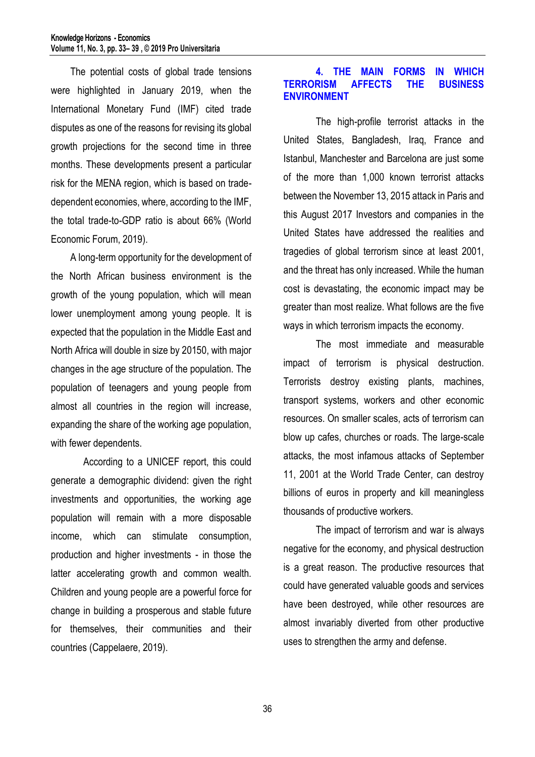The potential costs of global trade tensions were highlighted in January 2019, when the International Monetary Fund (IMF) cited trade disputes as one of the reasons for revising its global growth projections for the second time in three months. These developments present a particular risk for the MENA region, which is based on tradedependent economies, where, according to the IMF, the total trade-to-GDP ratio is about 66% (World Economic Forum, 2019).

A long-term opportunity for the development of the North African business environment is the growth of the young population, which will mean lower unemployment among young people. It is expected that the population in the Middle East and North Africa will double in size by 20150, with major changes in the age structure of the population. The population of teenagers and young people from almost all countries in the region will increase, expanding the share of the working age population, with fewer dependents.

According to a UNICEF report, this could generate a demographic dividend: given the right investments and opportunities, the working age population will remain with a more disposable income, which can stimulate consumption, production and higher investments - in those the latter accelerating growth and common wealth. Children and young people are a powerful force for change in building a prosperous and stable future for themselves, their communities and their countries (Cappelaere, 2019).

### **4. THE MAIN FORMS IN WHICH TERRORISM AFFECTS THE ENVIRONMENT**

The high-profile terrorist attacks in the United States, Bangladesh, Iraq, France and Istanbul, Manchester and Barcelona are just some of the more than 1,000 known terrorist attacks between the November 13, 2015 attack in Paris and this August 2017 Investors and companies in the United States have addressed the realities and tragedies of global terrorism since at least 2001, and the threat has only increased. While the human cost is devastating, the economic impact may be greater than most realize. What follows are the five ways in which terrorism impacts the economy.

The most immediate and measurable impact of terrorism is physical destruction. Terrorists destroy existing plants, machines, transport systems, workers and other economic resources. On smaller scales, acts of terrorism can blow up cafes, churches or roads. The large-scale attacks, the most infamous attacks of September 11, 2001 at the World Trade Center, can destroy billions of euros in property and kill meaningless thousands of productive workers.

The impact of terrorism and war is always negative for the economy, and physical destruction is a great reason. The productive resources that could have generated valuable goods and services have been destroyed, while other resources are almost invariably diverted from other productive uses to strengthen the army and defense.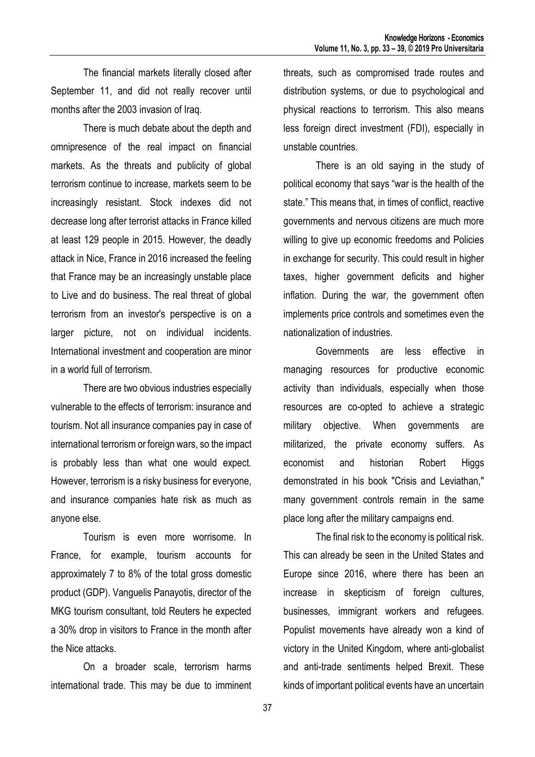The financial markets literally closed after September 11, and did not really recover until months after the 2003 invasion of Iraq.

There is much debate about the depth and omnipresence of the real impact on financial markets. As the threats and publicity of global terrorism continue to increase, markets seem to be increasingly resistant. Stock indexes did not decrease long after terrorist attacks in France killed at least 129 people in 2015. However, the deadly attack in Nice, France in 2016 increased the feeling that France may be an increasingly unstable place to Live and do business. The real threat of global terrorism from an investor's perspective is on a larger picture, not on individual incidents. International investment and cooperation are minor in a world full of terrorism.

There are two obvious industries especially vulnerable to the effects of terrorism: insurance and tourism. Not all insurance companies pay in case of international terrorism or foreign wars, so the impact is probably less than what one would expect. However, terrorism is a risky business for everyone, and insurance companies hate risk as much as anyone else.

Tourism is even more worrisome. In France, for example, tourism accounts for approximately 7 to 8% of the total gross domestic product (GDP). Vanguelis Panayotis, director of the MKG tourism consultant, told Reuters he expected a 30% drop in visitors to France in the month after the Nice attacks.

On a broader scale, terrorism harms international trade. This may be due to imminent threats, such as compromised trade routes and distribution systems, or due to psychological and physical reactions to terrorism. This also means less foreign direct investment (FDI), especially in unstable countries.

There is an old saying in the study of political economy that says "war is the health of the state." This means that, in times of conflict, reactive governments and nervous citizens are much more willing to give up economic freedoms and Policies in exchange for security. This could result in higher taxes, higher government deficits and higher inflation. During the war, the government often implements price controls and sometimes even the nationalization of industries.

Governments are less effective in managing resources for productive economic activity than individuals, especially when those resources are co-opted to achieve a strategic military objective. When governments are militarized, the private economy suffers. As economist and historian Robert Higgs demonstrated in his book "Crisis and Leviathan," many government controls remain in the same place long after the military campaigns end.

The final risk to the economy is political risk. This can already be seen in the United States and Europe since 2016, where there has been an increase in skepticism of foreign cultures, businesses, immigrant workers and refugees. Populist movements have already won a kind of victory in the United Kingdom, where anti-globalist and anti-trade sentiments helped Brexit. These kinds of important political events have an uncertain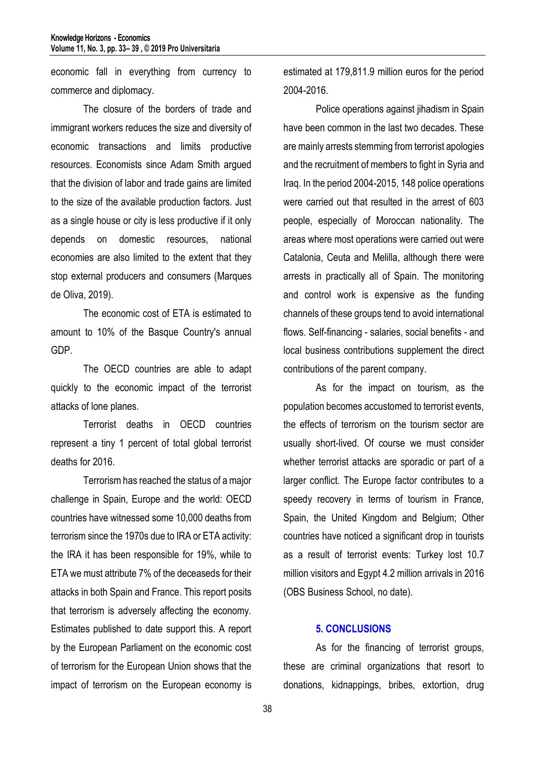economic fall in everything from currency to commerce and diplomacy.

The closure of the borders of trade and immigrant workers reduces the size and diversity of economic transactions and limits productive resources. Economists since Adam Smith argued that the division of labor and trade gains are limited to the size of the available production factors. Just as a single house or city is less productive if it only depends on domestic resources, national economies are also limited to the extent that they stop external producers and consumers (Marques de Oliva, 2019).

The economic cost of ETA is estimated to amount to 10% of the Basque Country's annual GDP.

 The OECD countries are able to adapt quickly to the economic impact of the terrorist attacks of lone planes.

 Terrorist deaths in OECD countries represent a tiny 1 percent of total global terrorist deaths for 2016.

Terrorism has reached the status of a major challenge in Spain, Europe and the world: OECD countries have witnessed some 10,000 deaths from terrorism since the 1970s due to IRA or ETA activity: the IRA it has been responsible for 19%, while to ETA we must attribute 7% of the deceaseds for their attacks in both Spain and France. This report posits that terrorism is adversely affecting the economy. Estimates published to date support this. A report by the European Parliament on the economic cost of terrorism for the European Union shows that the impact of terrorism on the European economy is

estimated at 179,811.9 million euros for the period 2004-2016.

Police operations against jihadism in Spain have been common in the last two decades. These are mainly arrests stemming from terrorist apologies and the recruitment of members to fight in Syria and Iraq. In the period 2004-2015, 148 police operations were carried out that resulted in the arrest of 603 people, especially of Moroccan nationality. The areas where most operations were carried out were Catalonia, Ceuta and Melilla, although there were arrests in practically all of Spain. The monitoring and control work is expensive as the funding channels of these groups tend to avoid international flows. Self-financing - salaries, social benefits - and local business contributions supplement the direct contributions of the parent company.

As for the impact on tourism, as the population becomes accustomed to terrorist events, the effects of terrorism on the tourism sector are usually short-lived. Of course we must consider whether terrorist attacks are sporadic or part of a larger conflict. The Europe factor contributes to a speedy recovery in terms of tourism in France, Spain, the United Kingdom and Belgium; Other countries have noticed a significant drop in tourists as a result of terrorist events: Turkey lost 10.7 million visitors and Egypt 4.2 million arrivals in 2016 (OBS Business School, no date).

#### **5. CONCLUSIONS**

As for the financing of terrorist groups, these are criminal organizations that resort to donations, kidnappings, bribes, extortion, drug